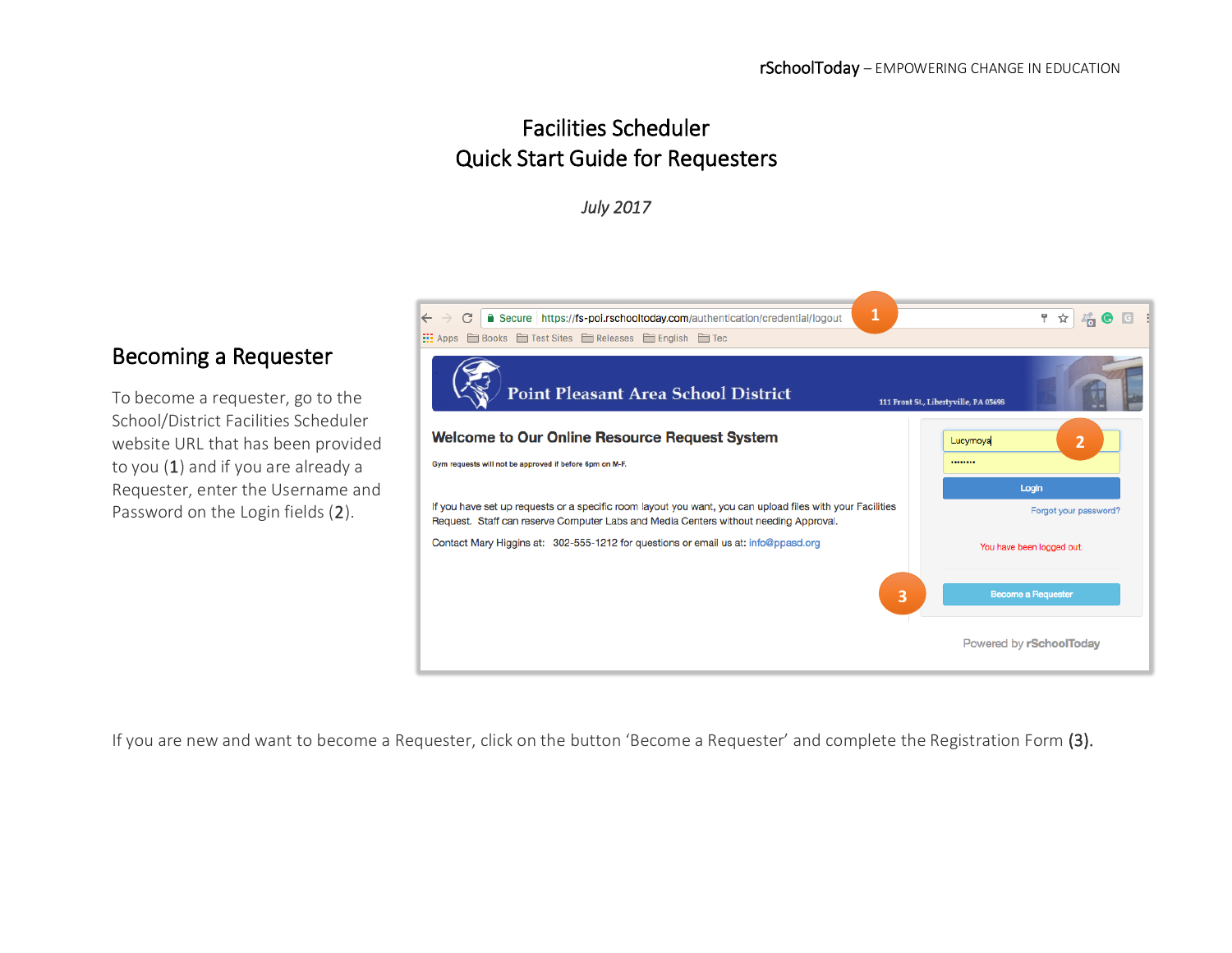# Facilities Scheduler Quick Start Guide for Requesters

#### *July 2017*



### Becoming a Requester

To become a requester, go to the School/District Facilities Scheduler website URL that has been provided to you (1) and if you are already a Requester, enter the Username and Password on the Login fields (2).

If you are new and want to become a Requester, click on the button 'Become a Requester' and complete the Registration Form (3).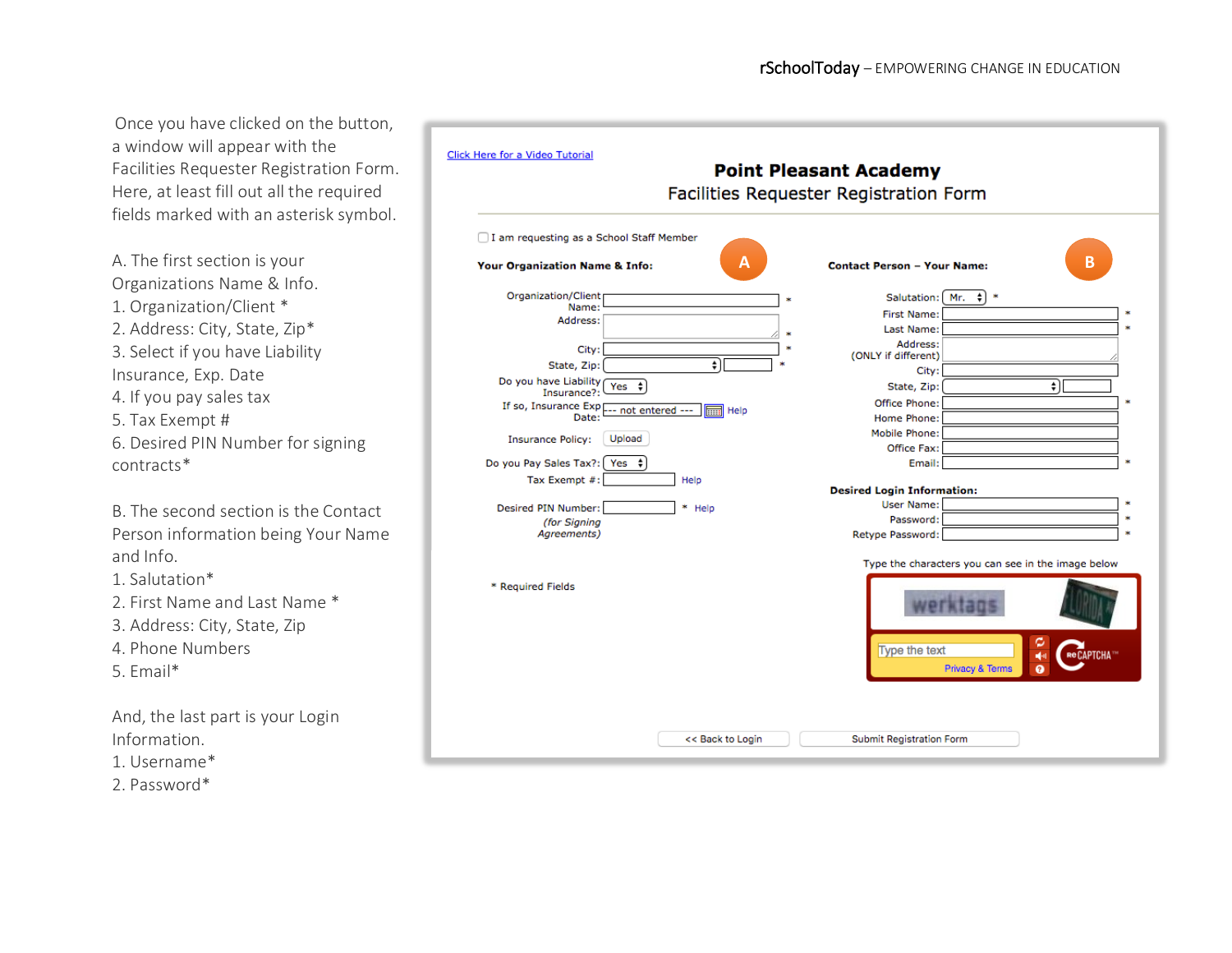Once you have clicked on the button, a window will appear with the Facilities Requester Registration Form. Here, at least fill out all the required fields marked with an asterisk symbol.

A. The first section is your Organizations Name & Info. 1. Organization/Client \* 2. Address: City, State, Zip\* 3. Select if you have Liability Insurance, Exp. Date 4. If you pay sales tax 5. Tax Exempt # 6. Desired PIN Number for signing contracts\*

B. The second section is the Contact Person information being Your Name and Info.

1. Salutation\*

- 2. First Name and Last Name \*
- 3. Address: City, State, Zip
- 4. Phone Numbers

5. Email\*

And, the last part is your Login Information.

1. Username\*

2. Password\*

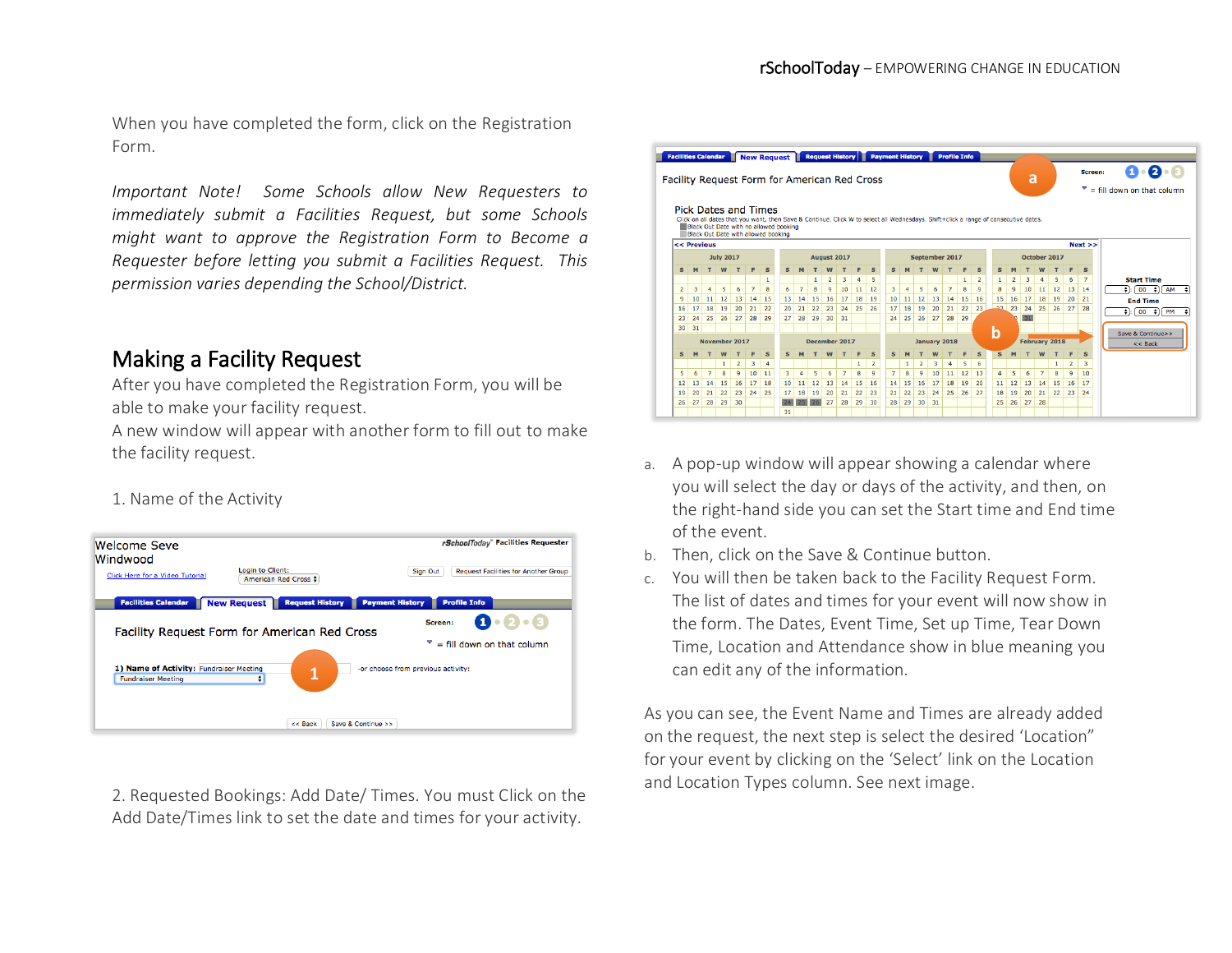When you have completed the form, click on the Registration Form.

*Important Note! Some Schools allow New Requesters to immediately submit a Facilities Request, but some Schools might want to approve the Registration Form to Become a Requester before letting you submit a Facilities Request. This permission varies depending the School/District.*

## Making a Facility Request

After you have completed the Registration Form, you will be able to make your facility request.

A new window will appear with another form to fill out to make the facility request.

### 1. Name of the Activity



2. Requested Bookings: Add Date/ Times. You must Click on the Add Date/Times link to set the date and times for your activity.

|                |                |                | <b>Facilities Calendar</b> |                         |    | New Request Request History<br>Facility Request Form for American Red Cross                                  |                |                |              |                |                |    |                | <b>Payment History</b> |    |                         |    |                | <b>Profile Info</b> |                |                                                                                                                                     |                | a  |                |                      |    | Screen:      |                                |
|----------------|----------------|----------------|----------------------------|-------------------------|----|--------------------------------------------------------------------------------------------------------------|----------------|----------------|--------------|----------------|----------------|----|----------------|------------------------|----|-------------------------|----|----------------|---------------------|----------------|-------------------------------------------------------------------------------------------------------------------------------------|----------------|----|----------------|----------------------|----|--------------|--------------------------------|
|                |                |                |                            |                         |    | <b>Pick Dates and Times</b><br>Black Out Date with no allowed booking<br>Black Out Date with allowed booking |                |                |              |                |                |    |                |                        |    |                         |    |                |                     |                | Click on all dates that you want, then Save & Continue. Click W to select all Wednesdays. Shift+click a range of consecutive dates. |                |    |                |                      |    |              | $=$ fill down on that column   |
|                | $\lt$ Previous |                |                            |                         |    |                                                                                                              |                |                |              |                |                |    |                |                        |    |                         |    |                |                     |                |                                                                                                                                     |                |    |                |                      |    | Next         |                                |
|                |                |                | <b>July 2017</b>           |                         |    |                                                                                                              |                |                |              | August 2017    |                |    |                |                        |    | September 2017          |    |                |                     |                |                                                                                                                                     |                |    | October 2017   |                      |    |              |                                |
| $\mathbf{s}$   | M              |                |                            |                         |    | s                                                                                                            | s              |                |              |                |                |    | S              | s                      | M  |                         | W  |                |                     | $\mathbf{s}$   | s                                                                                                                                   |                |    | W              |                      | F  | s            |                                |
|                |                |                |                            |                         |    | 1.                                                                                                           |                |                | $\mathbf{1}$ | $\overline{2}$ | 3              | 4  | 5              |                        |    |                         |    |                |                     | $\overline{2}$ | $\mathbf{1}$                                                                                                                        | $\overline{2}$ | 3  | $\overline{4}$ | 5                    | 6  | 7            | <b>Start Time</b>              |
| $\overline{2}$ | 3              |                | s                          | 6                       |    | 8                                                                                                            | 6              | $\overline{7}$ | 8            | 9              | 10             | 11 | 12             | 3                      | 4  | 5                       | 6  | $\overline{7}$ | 8                   | 9              | 8                                                                                                                                   | 9              | 10 | 11             | 12                   | 13 | 14           | $[00 \div]$ $[AM$<br>$\div$    |
| 9              | 10             | 11             | 12                         | 13                      | 14 | 15                                                                                                           | 13             | 14             | 15           | 16             | 17             | 18 | 19             | 10                     | 11 | 12                      | 13 | 14             | 15                  | 16             | 15                                                                                                                                  | 16             | 17 | 18             | 19                   | 20 | 21           | <b>End Time</b>                |
| 16             | 17             | 18             | 19                         | 20                      | 21 | 22                                                                                                           | 20             | 21             | 22           | 23             | 24             | 25 | 26             | 17                     | 18 | 19                      | 20 | 21             | 22                  | 23             | 22                                                                                                                                  | 23             | 24 | 25             | 26                   | 27 | 28           | $00 \div (PM)$<br>٥Ì           |
| 23             | 24             | 25             | 26                         | 27                      | 28 | 29                                                                                                           | 27             | 28             | 29           | 30             | 31             |    |                | 24                     | 25 | 26                      | 27 | 28             | 29                  |                |                                                                                                                                     |                | 31 |                |                      |    |              |                                |
| 30             | 31             |                |                            |                         |    |                                                                                                              |                |                |              |                |                |    |                |                        |    |                         |    |                |                     |                |                                                                                                                                     |                |    |                |                      |    |              |                                |
|                |                |                |                            | November 2017           |    |                                                                                                              |                |                |              |                | December 2017  |    |                |                        |    |                         |    | January 2018   |                     |                | b                                                                                                                                   |                |    |                | <b>February 2018</b> |    |              | Save & Continue>><br>$<<$ Back |
| s              | M              |                |                            |                         |    | s                                                                                                            | $\mathbf{s}$   |                |              |                |                |    | $\mathbf{s}$   | s                      | M  |                         |    |                | F                   | $\mathbf{s}$   | $\overline{\mathbf{s}}$                                                                                                             | M              |    | w              | Ŧ                    | F  | $\mathbf{s}$ |                                |
|                |                |                |                            | $\overline{\mathbf{2}}$ | 3  | 4                                                                                                            |                |                |              |                |                | 1  | $\overline{2}$ |                        | 1  | $\overline{\mathbf{2}}$ | 3  | 4              | 5                   | 6              |                                                                                                                                     |                |    |                | 1                    | 2  | 3            |                                |
| 5              | 6              | $\overline{7}$ | 8                          | 9                       | 10 | 11                                                                                                           | $\overline{3}$ | 4              | 5            | 6              | $\overline{7}$ | 8  | 9              | $\overline{7}$         | 8  | 9                       | 10 | 11             | 12                  | 13             | 4                                                                                                                                   | 5              | 6  | $\overline{7}$ | 8                    | 9  | 10           |                                |
| 12             | 13             | 14             | 15                         | 16                      | 17 | 18                                                                                                           | 10             | 11             | 12           | 13             | 14             | 15 | 16             | 14                     | 15 | 16                      | 17 | 18             | 19                  | 20             | 11                                                                                                                                  | 12             | 13 | 14             | 15                   | 16 | 17           |                                |
| 19             | 20             | 21             | 22                         | 23                      | 24 | 25                                                                                                           | 17             | 18             | 19           | 20             | 21             | 22 | 23             | 21                     | 22 | 23                      | 24 | 25             | 26                  | 27             | 18                                                                                                                                  | 19             | 20 | 21             | 22                   | 23 | 24           |                                |
| 26             | 27             | 28             | 29                         | 30                      |    |                                                                                                              | 24             |                |              | 27             | 28             | 29 | 30             | 28                     | 29 | 30                      | 31 |                |                     |                | 25                                                                                                                                  | 26             | 27 | 28             |                      |    |              |                                |
|                |                |                |                            |                         |    |                                                                                                              | 31             |                |              |                |                |    |                |                        |    |                         |    |                |                     |                |                                                                                                                                     |                |    |                |                      |    |              |                                |

- a. A pop-up window will appear showing a calendar where you will select the day or days of the activity, and then, on the right-hand side you can set the Start time and End time of the event.
- b. Then, click on the Save & Continue button.
- c. You will then be taken back to the Facility Request Form. The list of dates and times for your event will now show in the form. The Dates, Event Time, Set up Time, Tear Down Time, Location and Attendance show in blue meaning you can edit any of the information.

As you can see, the Event Name and Times are already added on the request, the next step is select the desired 'Location" for your event by clicking on the 'Select' link on the Location and Location Types column. See next image.